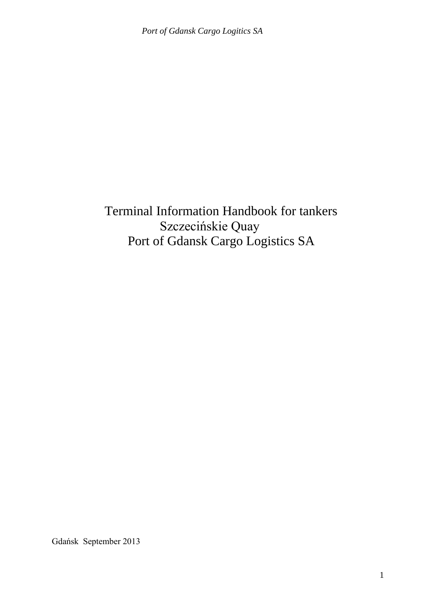Terminal Information Handbook for tankers Szczecińskie Quay Port of Gdansk Cargo Logistics SA

Gdańsk September 2013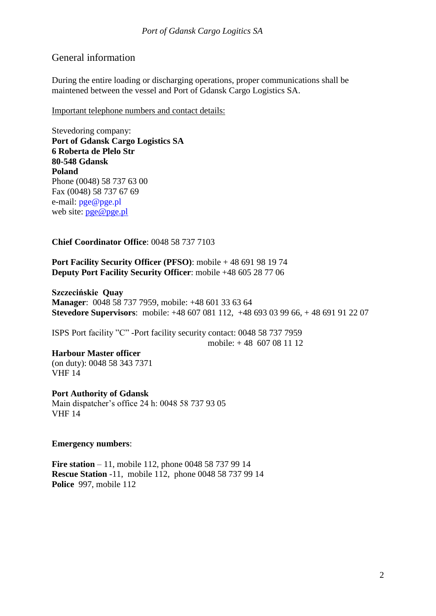# General information

During the entire loading or discharging operations, proper communications shall be maintened between the vessel and Port of Gdansk Cargo Logistics SA.

Important telephone numbers and contact details:

Stevedoring company: **Port of Gdansk Cargo Logistics SA 6 Roberta de Plelo Str 80-548 Gdansk Poland** Phone (0048) 58 737 63 00 Fax (0048) 58 737 67 69 e-mail: [pge@pge.pl](mailto:pge@pge.pl) web site: [pge@pge.pl](mailto:pge@pge.pl)

## **Chief Coordinator Office**: 0048 58 737 7103

**Port Facility Security Officer (PFSO)**: mobile + 48 691 98 19 74 **Deputy Port Facility Security Officer**: mobile +48 605 28 77 06

**Szczecińskie Quay Manager**: 0048 58 737 7959, mobile: +48 601 33 63 64 **Stevedore Supervisors**: mobile: +48 607 081 112, +48 693 03 99 66, + 48 691 91 22 07

ISPS Port facility "C" -Port facility security contact: 0048 58 737 7959 mobile: + 48 607 08 11 12

### **Harbour Master officer**

(on duty): 0048 58 343 7371 VHF 14

**Port Authority of Gdansk** Main dispatcher's office 24 h: 0048 58 737 93 05 VHF 14

### **Emergency numbers**:

**Fire station** – 11, mobile 112, phone 0048 58 737 99 14 **Rescue Station** -11, mobile 112, phone 0048 58 737 99 14 **Police** 997, mobile 112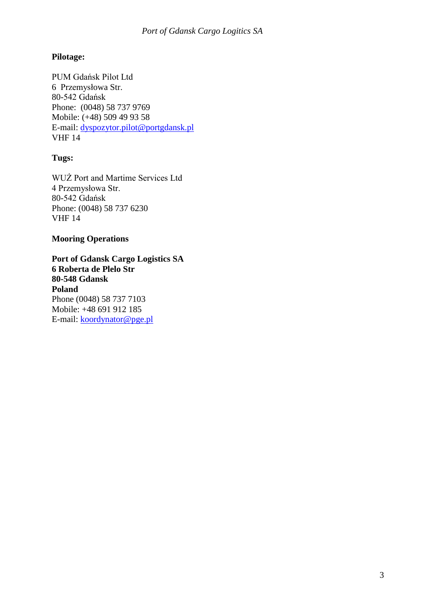# **Pilotage:**

PUM Gdańsk Pilot Ltd 6 Przemysłowa Str. 80-542 Gdańsk Phone: (0048) 58 737 9769 Mobile: (+48) 509 49 93 58 E-mail: [dyspozytor.pilot@portgdansk.pl](mailto:dyspozytor.pilot@porgtdansk.pl) VHF 14

# **Tugs:**

WUŻ Port and Martime Services Ltd 4 Przemysłowa Str. 80-542 Gdańsk Phone: (0048) 58 737 6230 VHF 14

### **Mooring Operations**

**Port of Gdansk Cargo Logistics SA 6 Roberta de Plelo Str 80-548 Gdansk Poland** Phone (0048) 58 737 7103 Mobile: +48 691 912 185 E-mail: [koordynator@pge.pl](mailto:koordynator@pge.pl)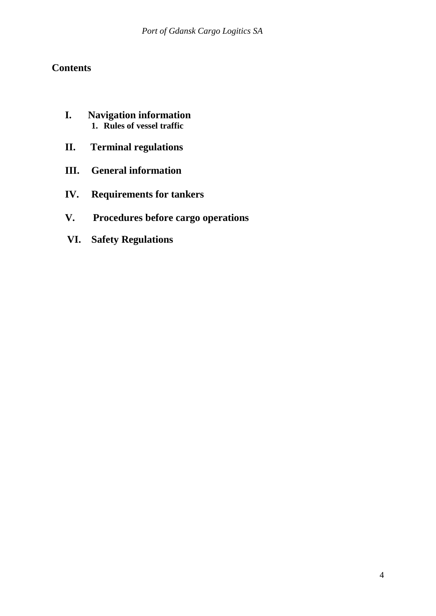# **Contents**

- **I. Navigation information 1. Rules of vessel traffic**
- **II. Terminal regulations**
- **III. General information**
- **IV. Requirements for tankers**
- **V. Procedures before cargo operations**
- **VI. Safety Regulations**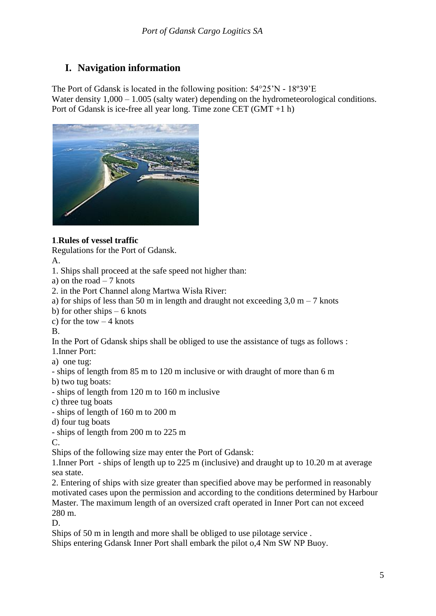# **I. Navigation information**

The Port of Gdansk is located in the following position: 54°25'N - 18º39'E Water density  $1,000 - 1.005$  (salty water) depending on the hydrometeorological conditions. Port of Gdansk is ice-free all year long. Time zone CET (GMT +1 h)



# **1**.**Rules of vessel traffic**

Regulations for the Port of Gdansk.

A.

1. Ships shall proceed at the safe speed not higher than:

a) on the road  $-7$  knots

2. in the Port Channel along Martwa Wisła River:

a) for ships of less than 50 m in length and draught not exceeding  $3.0 \text{ m} - 7$  knots

b) for other ships  $-6$  knots

c) for the tow  $-4$  knots

B.

In the Port of Gdansk ships shall be obliged to use the assistance of tugs as follows :

1.Inner Port:

a) one tug:

- ships of length from 85 m to 120 m inclusive or with draught of more than 6 m b) two tug boats:

- ships of length from 120 m to 160 m inclusive

c) three tug boats

- ships of length of 160 m to 200 m

d) four tug boats

- ships of length from 200 m to 225 m

C.

Ships of the following size may enter the Port of Gdansk:

1.Inner Port - ships of length up to 225 m (inclusive) and draught up to 10.20 m at average sea state.

2. Entering of ships with size greater than specified above may be performed in reasonably motivated cases upon the permission and according to the conditions determined by Harbour Master. The maximum length of an oversized craft operated in Inner Port can not exceed 280 m.

D.

Ships of 50 m in length and more shall be obliged to use pilotage service .

Ships entering Gdansk Inner Port shall embark the pilot o,4 Nm SW NP Buoy.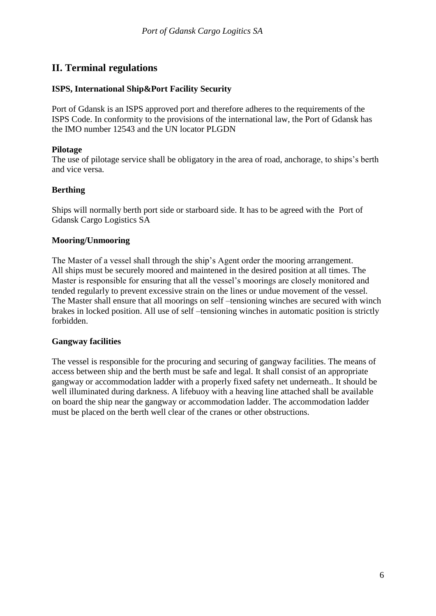# **II. Terminal regulations**

### **ISPS, International Ship&Port Facility Security**

Port of Gdansk is an ISPS approved port and therefore adheres to the requirements of the ISPS Code. In conformity to the provisions of the international law, the Port of Gdansk has the IMO number 12543 and the UN locator PLGDN

### **Pilotage**

The use of pilotage service shall be obligatory in the area of road, anchorage, to ships's berth and vice versa.

## **Berthing**

Ships will normally berth port side or starboard side. It has to be agreed with the Port of Gdansk Cargo Logistics SA

## **Mooring/Unmooring**

The Master of a vessel shall through the ship's Agent order the mooring arrangement. All ships must be securely moored and maintened in the desired position at all times. The Master is responsible for ensuring that all the vessel's moorings are closely monitored and tended regularly to prevent excessive strain on the lines or undue movement of the vessel. The Master shall ensure that all moorings on self –tensioning winches are secured with winch brakes in locked position. All use of self –tensioning winches in automatic position is strictly forbidden.

### **Gangway facilities**

The vessel is responsible for the procuring and securing of gangway facilities. The means of access between ship and the berth must be safe and legal. It shall consist of an appropriate gangway or accommodation ladder with a properly fixed safety net underneath.. It should be well illuminated during darkness. A lifebuoy with a heaving line attached shall be available on board the ship near the gangway or accommodation ladder. The accommodation ladder must be placed on the berth well clear of the cranes or other obstructions.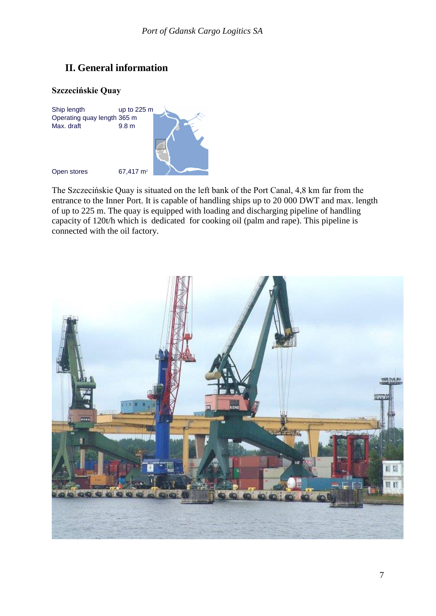# **II. General information**

#### **Szczecińskie Quay**



The Szczecińskie Quay is situated on the left bank of the Port Canal, 4,8 km far from the entrance to the Inner Port. It is capable of handling ships up to 20 000 DWT and max. length of up to 225 m. The quay is equipped with loading and discharging pipeline of handling capacity of 120t/h which is dedicated for cooking oil (palm and rape). This pipeline is connected with the oil factory.

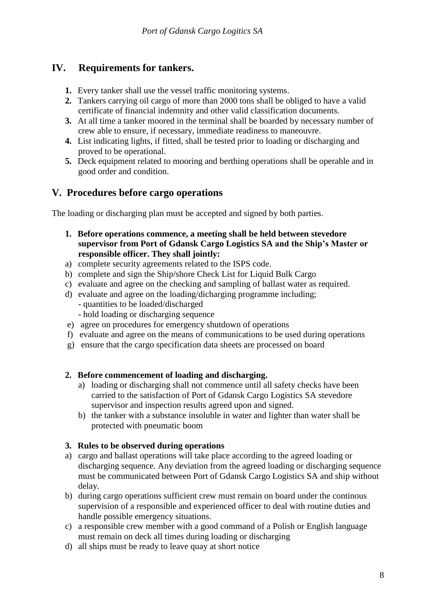# **IV. Requirements for tankers.**

- **1.** Every tanker shall use the vessel traffic monitoring systems.
- **2.** Tankers carrying oil cargo of more than 2000 tons shall be obliged to have a valid certificate of financial indemnity and other valid classification documents.
- **3.** At all time a tanker moored in the terminal shall be boarded by necessary number of crew able to ensure, if necessary, immediate readiness to maneouvre.
- **4.** List indicating lights, if fitted, shall be tested prior to loading or discharging and proved to be operational.
- **5.** Deck equipment related to mooring and berthing operations shall be operable and in good order and condition.

# **V. Procedures before cargo operations**

The loading or discharging plan must be accepted and signed by both parties.

- **1. Before operations commence, a meeting shall be held between stevedore supervisor from Port of Gdansk Cargo Logistics SA and the Ship's Master or responsible officer. They shall jointly:**
- a) complete security agreements related to the ISPS code.
- b) complete and sign the Ship/shore Check List for Liquid Bulk Cargo
- c) evaluate and agree on the checking and sampling of ballast water as required.
- d) evaluate and agree on the loading/dicharging programme including;
	- quantities to be loaded/discharged
	- hold loading or discharging sequence
- e) agree on procedures for emergency shutdown of operations
- f) evaluate and agree on the means of communications to be used during operations
- g) ensure that the cargo specification data sheets are processed on board

### **2. Before commencement of loading and discharging.**

- a) loading or discharging shall not commence until all safety checks have been carried to the satisfaction of Port of Gdansk Cargo Logistics SA stevedore supervisor and inspection results agreed upon and signed.
- b) the tanker with a substance insoluble in water and lighter than water shall be protected with pneumatic boom

### **3. Rules to be observed during operations**

- a) cargo and ballast operations will take place according to the agreed loading or discharging sequence. Any deviation from the agreed loading or discharging sequence must be communicated between Port of Gdansk Cargo Logistics SA and ship without delay.
- b) during cargo operations sufficient crew must remain on board under the continous supervision of a responsible and experienced officer to deal with routine duties and handle possible emergency situations.
- c) a responsible crew member with a good command of a Polish or English language must remain on deck all times during loading or discharging
- d) all ships must be ready to leave quay at short notice